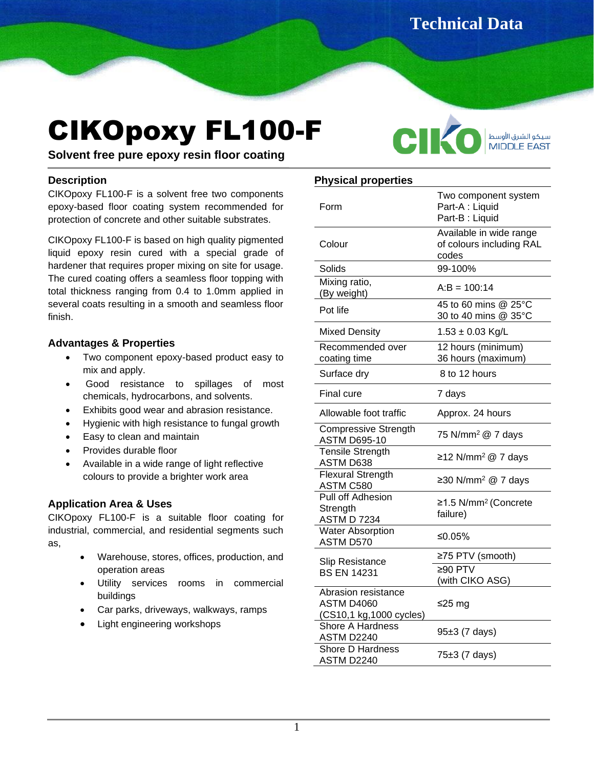**Technical Data** 

سيكو الشرق الأوسط<br>MIDDLE EAST

**Sheet**

C

# CIKOpoxy FL100-F

**Solvent free pure epoxy resin floor coating**

#### **Description**

CIKOpoxy FL100-F is a solvent free two components epoxy-based floor coating system recommended for protection of concrete and other suitable substrates. İ

CIKOpoxy FL100-F is based on high quality pigmented liquid epoxy resin cured with a special grade of hardener that requires proper mixing on site for usage. The cured coating offers a seamless floor topping with total thickness ranging from 0.4 to 1.0mm applied in several coats resulting in a smooth and seamless floor finish.

## **Advantages & Properties**

- Two component epoxy-based product easy to mix and apply.
- Good resistance to spillages of most chemicals, hydrocarbons, and solvents.
- Exhibits good wear and abrasion resistance.
- Hygienic with high resistance to fungal growth
- Easy to clean and maintain
- Provides durable floor
- Available in a wide range of light reflective colours to provide a brighter work area

## **Application Area & Uses**

CIKOpoxy FL100-F is a suitable floor coating for industrial, commercial, and residential segments such as,

- Warehouse, stores, offices, production, and operation areas
- Utility services rooms in commercial buildings
- Car parks, driveways, walkways, ramps
- Light engineering workshops

## **Physical properties**

| Form                                                                | Two component system<br>Part-A : Liquid<br>Part-B: Liquid    |  |
|---------------------------------------------------------------------|--------------------------------------------------------------|--|
| Colour                                                              | Available in wide range<br>of colours including RAL<br>codes |  |
| Solids                                                              | 99-100%                                                      |  |
| Mixing ratio,<br>(By weight)                                        | $A:B = 100:14$                                               |  |
| Pot life                                                            | 45 to 60 mins @ 25°C<br>30 to 40 mins @ 35°C                 |  |
| <b>Mixed Density</b>                                                | $1.53 \pm 0.03$ Kg/L                                         |  |
| Recommended over<br>coating time                                    | 12 hours (minimum)<br>36 hours (maximum)                     |  |
| Surface dry                                                         | 8 to 12 hours                                                |  |
| Final cure                                                          | 7 days                                                       |  |
| Allowable foot traffic                                              | Approx. 24 hours                                             |  |
| <b>Compressive Strength</b><br><b>ASTM D695-10</b>                  | 75 N/mm <sup>2</sup> @ 7 days                                |  |
| <b>Tensile Strength</b><br>ASTM D638                                | ≥12 N/mm <sup>2</sup> @ 7 days                               |  |
| <b>Flexural Strength</b><br>ASTM C580                               | ≥30 N/mm <sup>2</sup> @ 7 days                               |  |
| Pull off Adhesion<br>Strength<br><b>ASTM D 7234</b>                 | ≥1.5 N/mm <sup>2</sup> (Concrete<br>failure)                 |  |
| <b>Water Absorption</b><br>ASTM D570                                | ≤0.05%                                                       |  |
| Slip Resistance<br><b>BS EN 14231</b>                               | ≥75 PTV (smooth)                                             |  |
|                                                                     | ≥90 $PTV$<br>(with CIKO ASG)                                 |  |
| Abrasion resistance<br><b>ASTM D4060</b><br>(CS10,1 kg,1000 cycles) | ≤25 mg                                                       |  |
| <b>Shore A Hardness</b><br>ASTM D2240                               | 95±3 (7 days)                                                |  |
| Shore D Hardness<br>ASTM D2240                                      | 75±3 (7 days)                                                |  |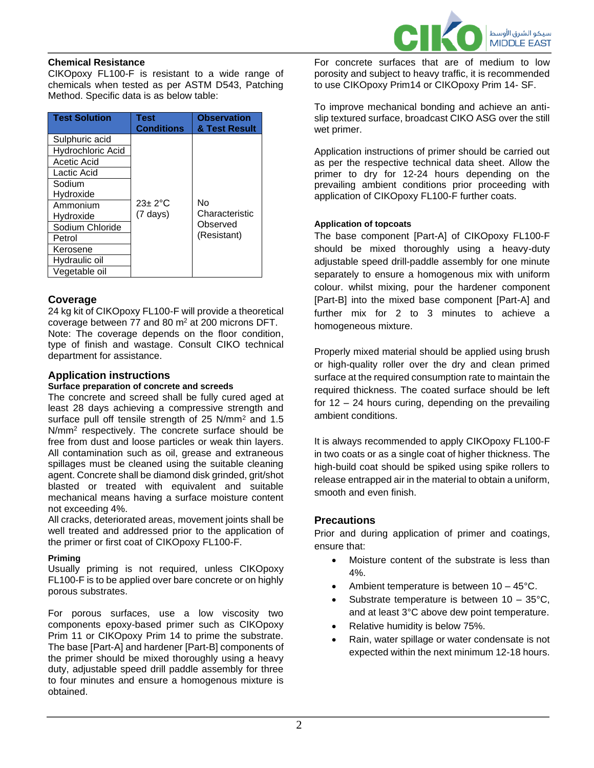

#### **Chemical Resistance**

CIKOpoxy FL100-F is resistant to a wide range of chemicals when tested as per ASTM D543, Patching Method. Specific data is as below table:

| <b>Test Solution</b> | Test<br><b>Conditions</b> | <b>Observation</b><br>& Test Result |
|----------------------|---------------------------|-------------------------------------|
| Sulphuric acid       |                           |                                     |
| Hydrochloric Acid    |                           |                                     |
| Acetic Acid          |                           |                                     |
| Lactic Acid          |                           |                                     |
| Sodium               |                           |                                     |
| Hydroxide            |                           |                                     |
| Ammonium             | $23 \pm 2$ °C             | N٥                                  |
| Hydroxide            | $(7 \text{ days})$        | Characteristic                      |
| Sodium Chloride      |                           | Observed                            |
| Petrol               |                           | (Resistant)                         |
| Kerosene             |                           |                                     |
| Hydraulic oil        |                           |                                     |
| Vegetable oil        |                           |                                     |

## **Coverage**

24 kg kit of CIKOpoxy FL100-F will provide a theoretical coverage between 77 and 80  $\mathrm{m}^2$  at 200 microns DFT. Note: The coverage depends on the floor condition, type of finish and wastage. Consult CIKO technical department for assistance.

## **Application instructions**

#### **Surface preparation of concrete and screeds**

The concrete and screed shall be fully cured aged at least 28 days achieving a compressive strength and surface pull off tensile strength of 25 N/mm<sup>2</sup> and 1.5 N/mm<sup>2</sup> respectively. The concrete surface should be free from dust and loose particles or weak thin layers. All contamination such as oil, grease and extraneous spillages must be cleaned using the suitable cleaning agent. Concrete shall be diamond disk grinded, grit/shot blasted or treated with equivalent and suitable mechanical means having a surface moisture content not exceeding 4%.

All cracks, deteriorated areas, movement joints shall be well treated and addressed prior to the application of the primer or first coat of CIKOpoxy FL100-F.

#### **Priming**

Usually priming is not required, unless CIKOpoxy FL100-F is to be applied over bare concrete or on highly porous substrates.

For porous surfaces, use a low viscosity two components epoxy-based primer such as CIKOpoxy Prim 11 or CIKOpoxy Prim 14 to prime the substrate. The base [Part-A] and hardener [Part-B] components of the primer should be mixed thoroughly using a heavy duty, adjustable speed drill paddle assembly for three to four minutes and ensure a homogenous mixture is obtained.

For concrete surfaces that are of medium to low porosity and subject to heavy traffic, it is recommended to use CIKOpoxy Prim14 or CIKOpoxy Prim 14- SF.

To improve mechanical bonding and achieve an antislip textured surface, broadcast CIKO ASG over the still wet primer.

Application instructions of primer should be carried out as per the respective technical data sheet. Allow the primer to dry for 12-24 hours depending on the prevailing ambient conditions prior proceeding with application of CIKOpoxy FL100-F further coats.

#### **Application of topcoats**

The base component [Part-A] of CIKOpoxy FL100-F should be mixed thoroughly using a heavy-duty adjustable speed drill-paddle assembly for one minute separately to ensure a homogenous mix with uniform colour. whilst mixing, pour the hardener component [Part-B] into the mixed base component [Part-A] and further mix for 2 to 3 minutes to achieve a homogeneous mixture.

Properly mixed material should be applied using brush or high-quality roller over the dry and clean primed surface at the required consumption rate to maintain the required thickness. The coated surface should be left for 12 – 24 hours curing, depending on the prevailing ambient conditions.

It is always recommended to apply CIKOpoxy FL100-F in two coats or as a single coat of higher thickness. The high-build coat should be spiked using spike rollers to release entrapped air in the material to obtain a uniform, smooth and even finish.

## **Precautions**

Prior and during application of primer and coatings, ensure that:

- Moisture content of the substrate is less than 4%.
- Ambient temperature is between  $10 45^{\circ}$ C.
- Substrate temperature is between  $10 35^{\circ}$ C, and at least 3°C above dew point temperature.
- Relative humidity is below 75%.
- Rain, water spillage or water condensate is not expected within the next minimum 12-18 hours.